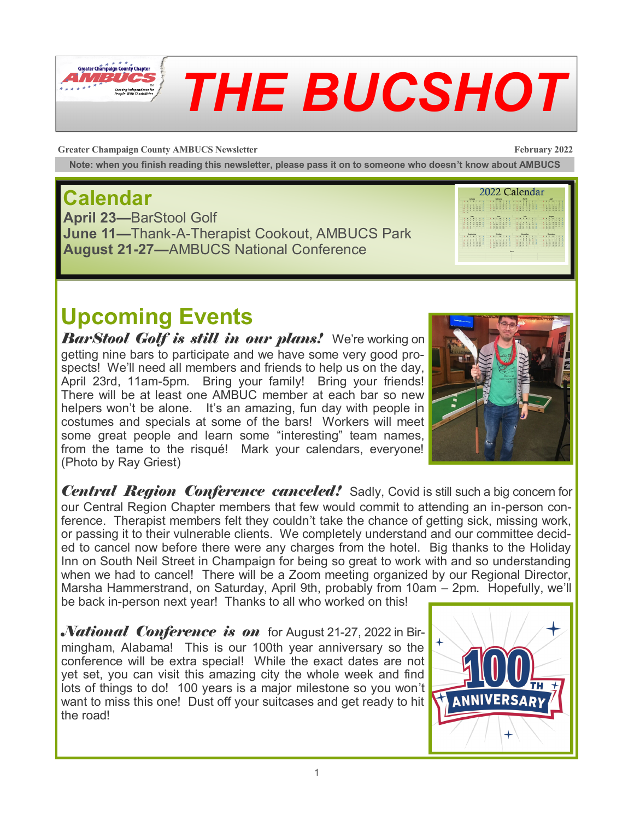

# *THE BUCSHOT*

**Greater Champaign County AMBUCS Newsletter February 2022**

**Note: when you finish reading this newsletter, please pass it on to someone who doesn't know about AMBUCS**

### **Calendar**

**April 23—**BarStool Golf **June 11—**Thank-A-Therapist Cookout, AMBUCS Park **August 21-27—**AMBUCS National Conference

2022 Calendar **ANTIFICATION IN THE SET OF STATE** HAM HAM HAM HAM **ENTIRE REGISTER** 

# **Upcoming Events**

*BarStool Golf is still in our plans!* We're working on getting nine bars to participate and we have some very good prospects! We'll need all members and friends to help us on the day, April 23rd, 11am-5pm. Bring your family! Bring your friends! There will be at least one AMBUC member at each bar so new helpers won't be alone. It's an amazing, fun day with people in costumes and specials at some of the bars! Workers will meet some great people and learn some "interesting" team names, from the tame to the risqué! Mark your calendars, everyone! (Photo by Ray Griest)



*Central Region Conference canceled!* Sadly, Covid is still such a big concern for our Central Region Chapter members that few would commit to attending an in-person conference. Therapist members felt they couldn't take the chance of getting sick, missing work, or passing it to their vulnerable clients. We completely understand and our committee decided to cancel now before there were any charges from the hotel. Big thanks to the Holiday Inn on South Neil Street in Champaign for being so great to work with and so understanding when we had to cancel! There will be a Zoom meeting organized by our Regional Director, Marsha Hammerstrand, on Saturday, April 9th, probably from 10am – 2pm. Hopefully, we'll

be back in-person next year! Thanks to all who worked on this!

*National Conference is on* for August 21-27, 2022 in Birmingham, Alabama! This is our 100th year anniversary so the conference will be extra special! While the exact dates are not yet set, you can visit this amazing city the whole week and find lots of things to do! 100 years is a major milestone so you won't want to miss this one! Dust off your suitcases and get ready to hit the road!

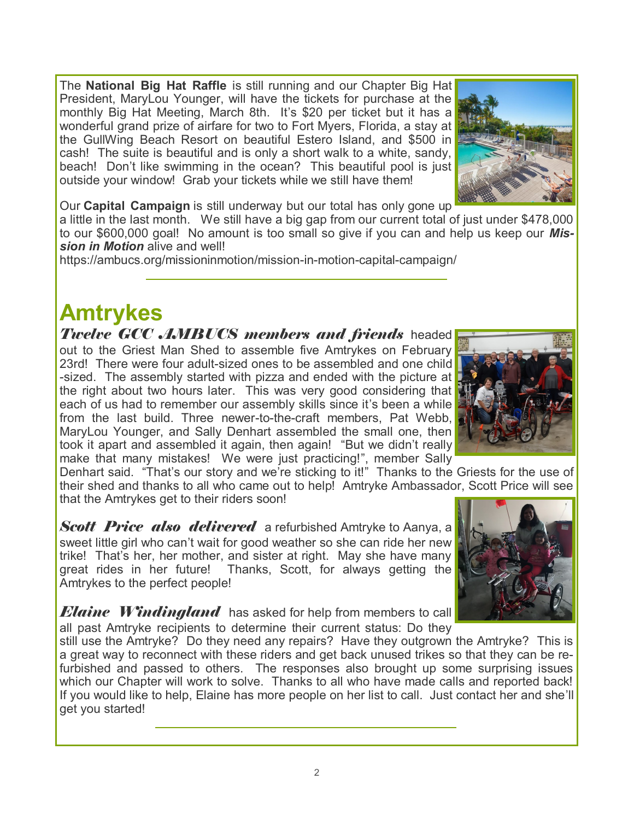The **National Big Hat Raffle** is still running and our Chapter Big Hat President, MaryLou Younger, will have the tickets for purchase at the monthly Big Hat Meeting, March 8th. It's \$20 per ticket but it has a wonderful grand prize of airfare for two to Fort Myers, Florida, a stay at the GullWing Beach Resort on beautiful Estero Island, and \$500 in cash! The suite is beautiful and is only a short walk to a white, sandy, beach! Don't like swimming in the ocean? This beautiful pool is just outside your window! Grab your tickets while we still have them!

Our **Capital Campaign** is still underway but our total has only gone up

a little in the last month. We still have a big gap from our current total of just under \$478,000 to our \$600,000 goal! No amount is too small so give if you can and help us keep our *Mission in Motion* alive and well!

https://ambucs.org/missioninmotion/mission-in-motion-capital-campaign/

#### **Amtrykes**

*Twelve GCC AMBUCS members and friends* headed out to the Griest Man Shed to assemble five Amtrykes on February 23rd! There were four adult-sized ones to be assembled and one child -sized. The assembly started with pizza and ended with the picture at the right about two hours later. This was very good considering that each of us had to remember our assembly skills since it's been a while from the last build. Three newer-to-the-craft members, Pat Webb, MaryLou Younger, and Sally Denhart assembled the small one, then took it apart and assembled it again, then again! "But we didn't really make that many mistakes! We were just practicing!", member Sally

Denhart said. "That's our story and we're sticking to it!" Thanks to the Griests for the use of their shed and thanks to all who came out to help! Amtryke Ambassador, Scott Price will see that the Amtrykes get to their riders soon!

*Scott Price also delivered* a refurbished Amtryke to Aanya, a sweet little girl who can't wait for good weather so she can ride her new trike! That's her, her mother, and sister at right. May she have many great rides in her future! Thanks, Scott, for always getting the Amtrykes to the perfect people!

*Elaine Windingland* has asked for help from members to call all past Amtryke recipients to determine their current status: Do they

still use the Amtryke? Do they need any repairs? Have they outgrown the Amtryke? This is a great way to reconnect with these riders and get back unused trikes so that they can be refurbished and passed to others. The responses also brought up some surprising issues which our Chapter will work to solve. Thanks to all who have made calls and reported back! If you would like to help, Elaine has more people on her list to call. Just contact her and she'll get you started!